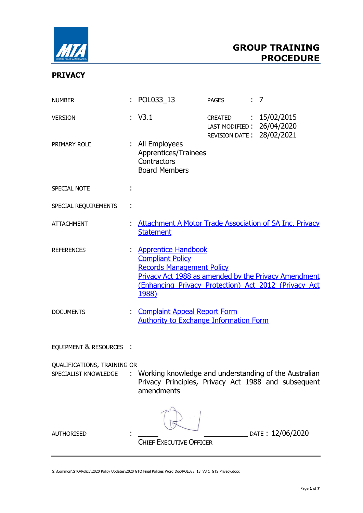

# PRIVACY

| <b>NUMBER</b>                                       | : POL033_13                                                                                                                                                                                                        | <b>PAGES</b>                                                                   | : 7 |                  |  |
|-----------------------------------------------------|--------------------------------------------------------------------------------------------------------------------------------------------------------------------------------------------------------------------|--------------------------------------------------------------------------------|-----|------------------|--|
| <b>VERSION</b>                                      | : V3.1                                                                                                                                                                                                             | CREATED : 15/02/2015<br>LAST MODIFIED: 26/04/2020<br>REVISION DATE: 28/02/2021 |     |                  |  |
| PRIMARY ROLE                                        | : All Employees<br>Apprentices/Trainees<br>Contractors<br><b>Board Members</b>                                                                                                                                     |                                                                                |     |                  |  |
| SPECIAL NOTE                                        |                                                                                                                                                                                                                    |                                                                                |     |                  |  |
| SPECIAL REQUIREMENTS                                |                                                                                                                                                                                                                    |                                                                                |     |                  |  |
| <b>ATTACHMENT</b>                                   | <b>Attachment A Motor Trade Association of SA Inc. Privacy</b><br><b>Statement</b>                                                                                                                                 |                                                                                |     |                  |  |
| <b>REFERENCES</b>                                   | <b>Apprentice Handbook</b><br><b>Compliant Policy</b><br><b>Records Management Policy</b><br>Privacy Act 1988 as amended by the Privacy Amendment<br>(Enhancing Privacy Protection) Act 2012 (Privacy Act<br>1988) |                                                                                |     |                  |  |
| <b>DOCUMENTS</b>                                    | <b>Complaint Appeal Report Form</b><br><b>Authority to Exchange Information Form</b>                                                                                                                               |                                                                                |     |                  |  |
| EQUIPMENT & RESOURCES :                             |                                                                                                                                                                                                                    |                                                                                |     |                  |  |
| QUALIFICATIONS, TRAINING OR<br>SPECIALIST KNOWLEDGE | Working knowledge and understanding of the Australian<br>Privacy Principles, Privacy Act 1988 and subsequent<br>amendments                                                                                         |                                                                                |     |                  |  |
| <b>AUTHORISED</b>                                   | <b>CHIEF EXECUTIVE OFFICER</b>                                                                                                                                                                                     |                                                                                |     | DATE: 12/06/2020 |  |

G:\Common\GTO\Policy\2020 Policy Updates\2020 GTO Final Policies Word Doc\POL033\_13\_V3 1\_GTS Privacy.docx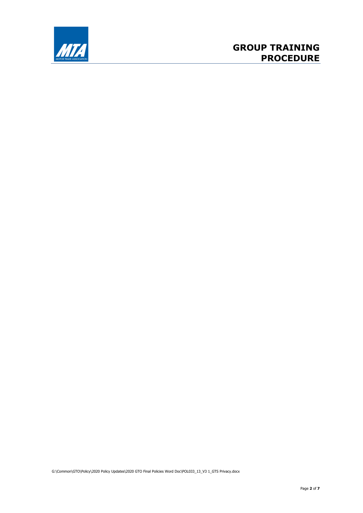

# GROUP TRAINING PROCEDURE

G:\Common\GTO\Policy\2020 Policy Updates\2020 GTO Final Policies Word Doc\POL033\_13\_V3 1\_GTS Privacy.docx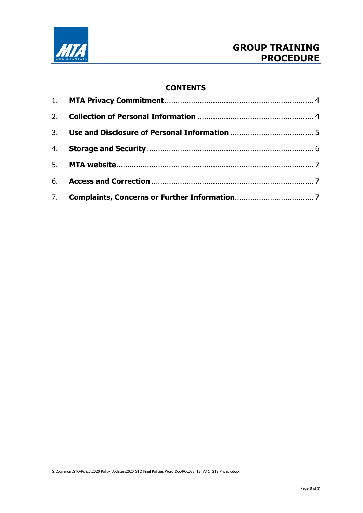

# **CONTENTS**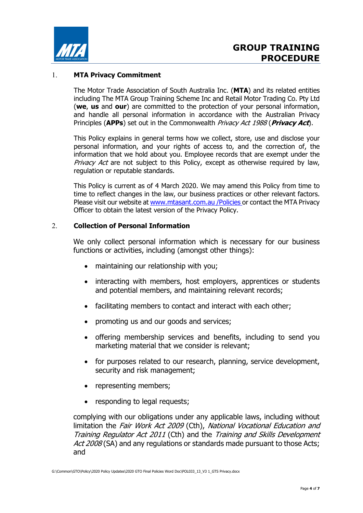

# 1. MTA Privacy Commitment

The Motor Trade Association of South Australia Inc. (MTA) and its related entities including The MTA Group Training Scheme Inc and Retail Motor Trading Co. Pty Ltd (we, us and our) are committed to the protection of your personal information, and handle all personal information in accordance with the Australian Privacy Principles (APPs) set out in the Commonwealth Privacy Act 1988 (Privacy Act).

This Policy explains in general terms how we collect, store, use and disclose your personal information, and your rights of access to, and the correction of, the information that we hold about you. Employee records that are exempt under the Privacy Act are not subject to this Policy, except as otherwise required by law, regulation or reputable standards.

This Policy is current as of 4 March 2020. We may amend this Policy from time to time to reflect changes in the law, our business practices or other relevant factors. Please visit our website at www.mtasant.com.au /Policies or contact the MTA Privacy Officer to obtain the latest version of the Privacy Policy.

### 2. Collection of Personal Information

We only collect personal information which is necessary for our business functions or activities, including (amongst other things):

- maintaining our relationship with you;
- interacting with members, host employers, apprentices or students and potential members, and maintaining relevant records;
- facilitating members to contact and interact with each other;
- promoting us and our goods and services;
- offering membership services and benefits, including to send you marketing material that we consider is relevant;
- for purposes related to our research, planning, service development, security and risk management;
- representing members;
- responding to legal requests;

complying with our obligations under any applicable laws, including without limitation the Fair Work Act 2009 (Cth), National Vocational Education and Training Regulator Act 2011 (Cth) and the Training and Skills Development Act 2008 (SA) and any regulations or standards made pursuant to those Acts; and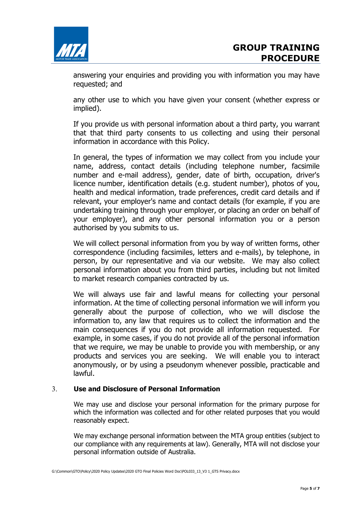

answering your enquiries and providing you with information you may have requested; and

any other use to which you have given your consent (whether express or implied).

If you provide us with personal information about a third party, you warrant that that third party consents to us collecting and using their personal information in accordance with this Policy.

In general, the types of information we may collect from you include your name, address, contact details (including telephone number, facsimile number and e-mail address), gender, date of birth, occupation, driver's licence number, identification details (e.g. student number), photos of you, health and medical information, trade preferences, credit card details and if relevant, your employer's name and contact details (for example, if you are undertaking training through your employer, or placing an order on behalf of your employer), and any other personal information you or a person authorised by you submits to us.

We will collect personal information from you by way of written forms, other correspondence (including facsimiles, letters and e-mails), by telephone, in person, by our representative and via our website. We may also collect personal information about you from third parties, including but not limited to market research companies contracted by us.

We will always use fair and lawful means for collecting your personal information. At the time of collecting personal information we will inform you generally about the purpose of collection, who we will disclose the information to, any law that requires us to collect the information and the main consequences if you do not provide all information requested. For example, in some cases, if you do not provide all of the personal information that we require, we may be unable to provide you with membership, or any products and services you are seeking. We will enable you to interact anonymously, or by using a pseudonym whenever possible, practicable and lawful.

# 3. Use and Disclosure of Personal Information

We may use and disclose your personal information for the primary purpose for which the information was collected and for other related purposes that you would reasonably expect.

We may exchange personal information between the MTA group entities (subject to our compliance with any requirements at law). Generally, MTA will not disclose your personal information outside of Australia.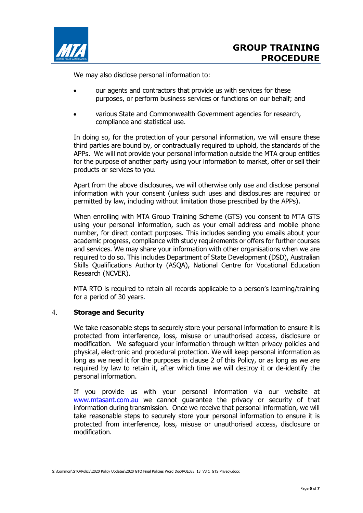

We may also disclose personal information to:

- our agents and contractors that provide us with services for these purposes, or perform business services or functions on our behalf; and
- various State and Commonwealth Government agencies for research, compliance and statistical use.

In doing so, for the protection of your personal information, we will ensure these third parties are bound by, or contractually required to uphold, the standards of the APPs. We will not provide your personal information outside the MTA group entities for the purpose of another party using your information to market, offer or sell their products or services to you.

Apart from the above disclosures, we will otherwise only use and disclose personal information with your consent (unless such uses and disclosures are required or permitted by law, including without limitation those prescribed by the APPs).

When enrolling with MTA Group Training Scheme (GTS) you consent to MTA GTS using your personal information, such as your email address and mobile phone number, for direct contact purposes. This includes sending you emails about your academic progress, compliance with study requirements or offers for further courses and services. We may share your information with other organisations when we are required to do so. This includes Department of State Development (DSD), Australian Skills Qualifications Authority (ASQA), National Centre for Vocational Education Research (NCVER).

MTA RTO is required to retain all records applicable to a person's learning/training for a period of 30 years.

# 4. Storage and Security

We take reasonable steps to securely store your personal information to ensure it is protected from interference, loss, misuse or unauthorised access, disclosure or modification. We safeguard your information through written privacy policies and physical, electronic and procedural protection. We will keep personal information as long as we need it for the purposes in clause 2 of this Policy, or as long as we are required by law to retain it, after which time we will destroy it or de-identify the personal information.

If you provide us with your personal information via our website at www.mtasant.com.au we cannot guarantee the privacy or security of that information during transmission. Once we receive that personal information, we will take reasonable steps to securely store your personal information to ensure it is protected from interference, loss, misuse or unauthorised access, disclosure or modification.

G:\Common\GTO\Policy\2020 Policy Updates\2020 GTO Final Policies Word Doc\POL033\_13\_V3 1\_GTS Privacy.docx